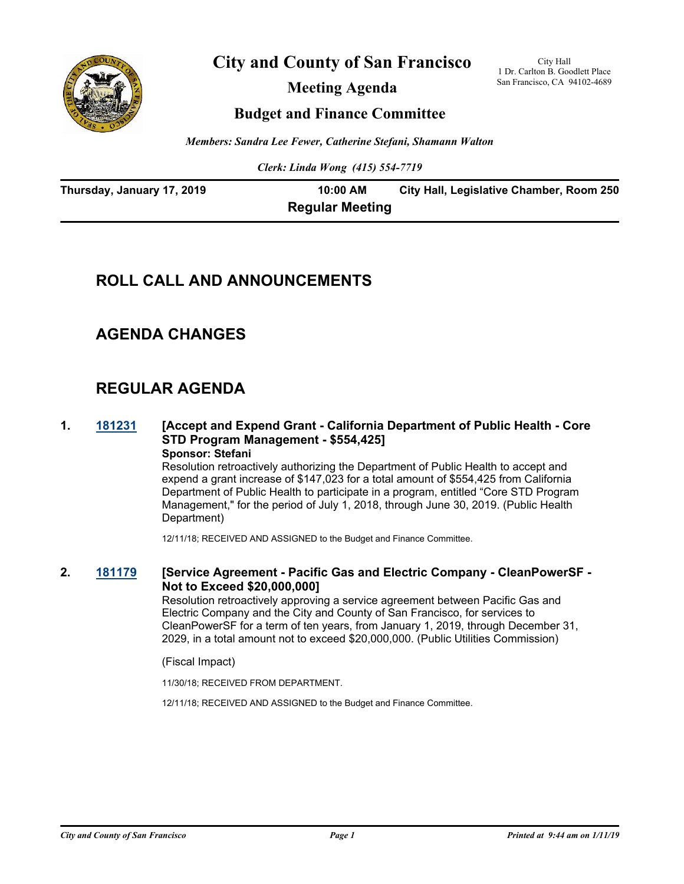

**City and County of San Francisco**

**Meeting Agenda**

City Hall 1 Dr. Carlton B. Goodlett Place San Francisco, CA 94102-4689

## **Budget and Finance Committee**

*Members: Sandra Lee Fewer, Catherine Stefani, Shamann Walton*

*Clerk: Linda Wong (415) 554-7719*

| Thursday, January 17, 2019 | 10:00 AM               | City Hall, Legislative Chamber, Room 250 |
|----------------------------|------------------------|------------------------------------------|
|                            | <b>Regular Meeting</b> |                                          |

# **ROLL CALL AND ANNOUNCEMENTS**

## **AGENDA CHANGES**

# **REGULAR AGENDA**

#### **1. [181231](http://sfgov.legistar.com/gateway.aspx?m=l&id=34102) [Accept and Expend Grant - California Department of Public Health - Core STD Program Management - \$554,425] Sponsor: Stefani**

Resolution retroactively authorizing the Department of Public Health to accept and expend a grant increase of \$147,023 for a total amount of \$554,425 from California Department of Public Health to participate in a program, entitled "Core STD Program Management," for the period of July 1, 2018, through June 30, 2019. (Public Health Department)

12/11/18; RECEIVED AND ASSIGNED to the Budget and Finance Committee.

## **2. [181179](http://sfgov.legistar.com/gateway.aspx?m=l&id=34048) [Service Agreement - Pacific Gas and Electric Company - CleanPowerSF - Not to Exceed \$20,000,000]**

Resolution retroactively approving a service agreement between Pacific Gas and Electric Company and the City and County of San Francisco, for services to CleanPowerSF for a term of ten years, from January 1, 2019, through December 31, 2029, in a total amount not to exceed \$20,000,000. (Public Utilities Commission)

(Fiscal Impact)

11/30/18; RECEIVED FROM DEPARTMENT.

12/11/18; RECEIVED AND ASSIGNED to the Budget and Finance Committee.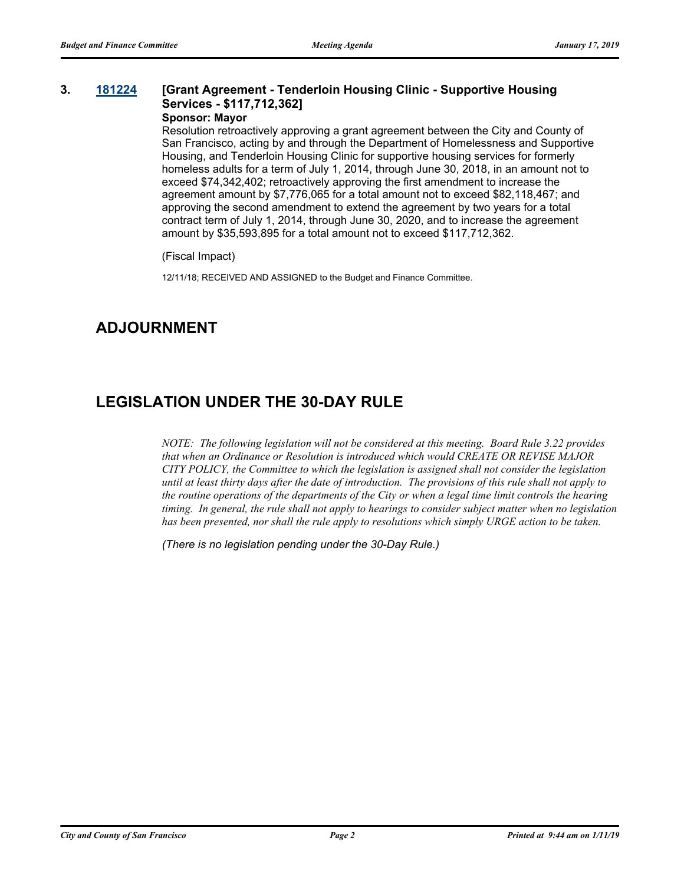## **3. [181224](http://sfgov.legistar.com/gateway.aspx?m=l&id=34095) [Grant Agreement - Tenderloin Housing Clinic - Supportive Housing Services - \$117,712,362]**

## **Sponsor: Mayor**

Resolution retroactively approving a grant agreement between the City and County of San Francisco, acting by and through the Department of Homelessness and Supportive Housing, and Tenderloin Housing Clinic for supportive housing services for formerly homeless adults for a term of July 1, 2014, through June 30, 2018, in an amount not to exceed \$74,342,402; retroactively approving the first amendment to increase the agreement amount by \$7,776,065 for a total amount not to exceed \$82,118,467; and approving the second amendment to extend the agreement by two years for a total contract term of July 1, 2014, through June 30, 2020, and to increase the agreement amount by \$35,593,895 for a total amount not to exceed \$117,712,362.

(Fiscal Impact)

12/11/18; RECEIVED AND ASSIGNED to the Budget and Finance Committee.

# **ADJOURNMENT**

# **LEGISLATION UNDER THE 30-DAY RULE**

*NOTE: The following legislation will not be considered at this meeting. Board Rule 3.22 provides that when an Ordinance or Resolution is introduced which would CREATE OR REVISE MAJOR CITY POLICY, the Committee to which the legislation is assigned shall not consider the legislation until at least thirty days after the date of introduction. The provisions of this rule shall not apply to the routine operations of the departments of the City or when a legal time limit controls the hearing timing. In general, the rule shall not apply to hearings to consider subject matter when no legislation has been presented, nor shall the rule apply to resolutions which simply URGE action to be taken.*

*(There is no legislation pending under the 30-Day Rule.)*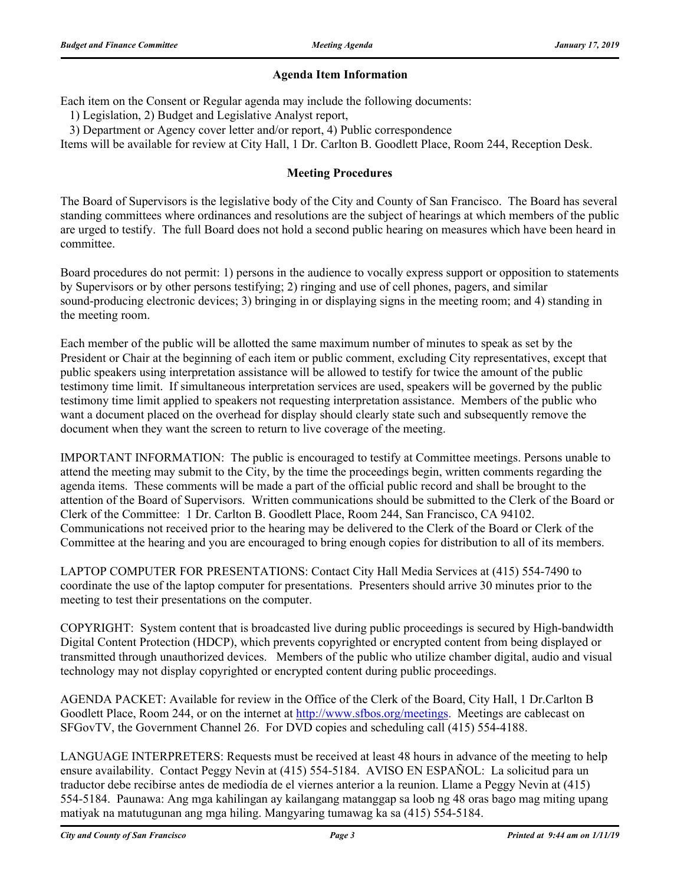### **Agenda Item Information**

Each item on the Consent or Regular agenda may include the following documents:

1) Legislation, 2) Budget and Legislative Analyst report,

3) Department or Agency cover letter and/or report, 4) Public correspondence

Items will be available for review at City Hall, 1 Dr. Carlton B. Goodlett Place, Room 244, Reception Desk.

### **Meeting Procedures**

The Board of Supervisors is the legislative body of the City and County of San Francisco. The Board has several standing committees where ordinances and resolutions are the subject of hearings at which members of the public are urged to testify. The full Board does not hold a second public hearing on measures which have been heard in committee.

Board procedures do not permit: 1) persons in the audience to vocally express support or opposition to statements by Supervisors or by other persons testifying; 2) ringing and use of cell phones, pagers, and similar sound-producing electronic devices; 3) bringing in or displaying signs in the meeting room; and 4) standing in the meeting room.

Each member of the public will be allotted the same maximum number of minutes to speak as set by the President or Chair at the beginning of each item or public comment, excluding City representatives, except that public speakers using interpretation assistance will be allowed to testify for twice the amount of the public testimony time limit. If simultaneous interpretation services are used, speakers will be governed by the public testimony time limit applied to speakers not requesting interpretation assistance. Members of the public who want a document placed on the overhead for display should clearly state such and subsequently remove the document when they want the screen to return to live coverage of the meeting.

IMPORTANT INFORMATION: The public is encouraged to testify at Committee meetings. Persons unable to attend the meeting may submit to the City, by the time the proceedings begin, written comments regarding the agenda items. These comments will be made a part of the official public record and shall be brought to the attention of the Board of Supervisors. Written communications should be submitted to the Clerk of the Board or Clerk of the Committee: 1 Dr. Carlton B. Goodlett Place, Room 244, San Francisco, CA 94102. Communications not received prior to the hearing may be delivered to the Clerk of the Board or Clerk of the Committee at the hearing and you are encouraged to bring enough copies for distribution to all of its members.

LAPTOP COMPUTER FOR PRESENTATIONS: Contact City Hall Media Services at (415) 554-7490 to coordinate the use of the laptop computer for presentations. Presenters should arrive 30 minutes prior to the meeting to test their presentations on the computer.

COPYRIGHT: System content that is broadcasted live during public proceedings is secured by High-bandwidth Digital Content Protection (HDCP), which prevents copyrighted or encrypted content from being displayed or transmitted through unauthorized devices. Members of the public who utilize chamber digital, audio and visual technology may not display copyrighted or encrypted content during public proceedings.

AGENDA PACKET: Available for review in the Office of the Clerk of the Board, City Hall, 1 Dr.Carlton B Goodlett Place, Room 244, or on the internet at http://www.sfbos.org/meetings. Meetings are cablecast on SFGovTV, the Government Channel 26. For DVD copies and scheduling call (415) 554-4188.

LANGUAGE INTERPRETERS: Requests must be received at least 48 hours in advance of the meeting to help ensure availability. Contact Peggy Nevin at (415) 554-5184. AVISO EN ESPAÑOL: La solicitud para un traductor debe recibirse antes de mediodía de el viernes anterior a la reunion. Llame a Peggy Nevin at (415) 554-5184. Paunawa: Ang mga kahilingan ay kailangang matanggap sa loob ng 48 oras bago mag miting upang matiyak na matutugunan ang mga hiling. Mangyaring tumawag ka sa (415) 554-5184.